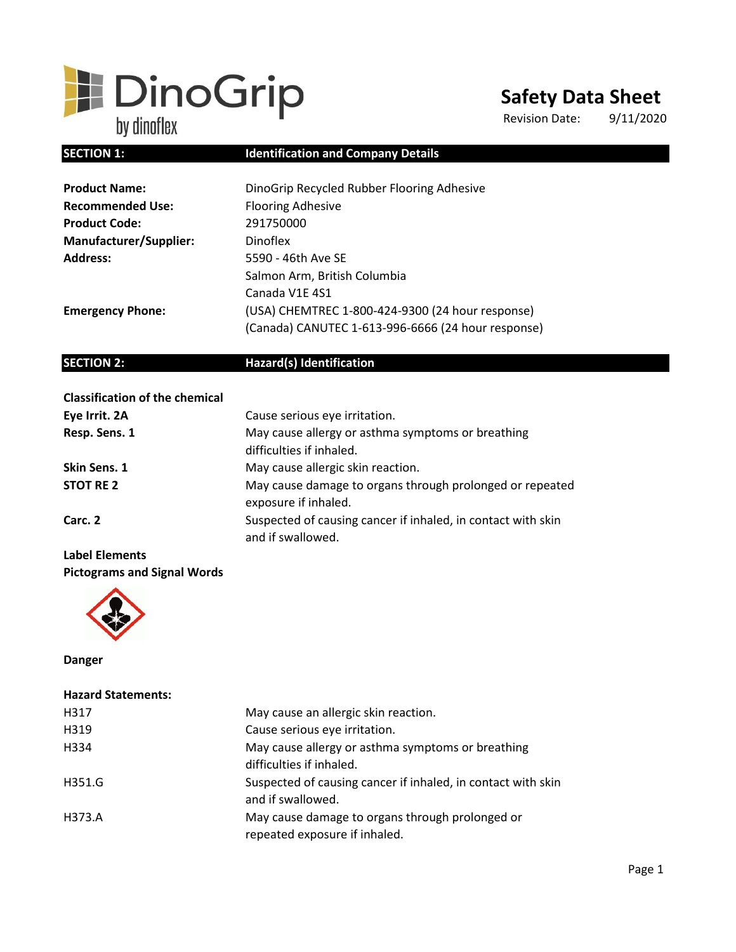# **E** DinoGrip

# **Safety Data Sheet**

Revision Date: 9/11/2020

# **SECTION 1:** Identification and Company Details

| <b>Product Name:</b>          | DinoGrip Recycled Rubber Flooring Adhesive         |  |
|-------------------------------|----------------------------------------------------|--|
| <b>Recommended Use:</b>       | <b>Flooring Adhesive</b>                           |  |
| <b>Product Code:</b>          | 291750000                                          |  |
| <b>Manufacturer/Supplier:</b> | <b>Dinoflex</b>                                    |  |
| <b>Address:</b>               | 5590 - 46th Ave SE                                 |  |
|                               | Salmon Arm, British Columbia                       |  |
|                               | Canada V1E 4S1                                     |  |
| <b>Emergency Phone:</b>       | (USA) CHEMTREC 1-800-424-9300 (24 hour response)   |  |
|                               | (Canada) CANUTEC 1-613-996-6666 (24 hour response) |  |

# **SECTION 2:** Hazard(s) Identification

| <b>Classification of the chemical</b> |                                                                                   |
|---------------------------------------|-----------------------------------------------------------------------------------|
| Eye Irrit. 2A                         | Cause serious eye irritation.                                                     |
| Resp. Sens. 1                         | May cause allergy or asthma symptoms or breathing                                 |
|                                       | difficulties if inhaled.                                                          |
| Skin Sens. 1                          | May cause allergic skin reaction.                                                 |
| <b>STOT RE 2</b>                      | May cause damage to organs through prolonged or repeated<br>exposure if inhaled.  |
| Carc. 2                               | Suspected of causing cancer if inhaled, in contact with skin<br>and if swallowed. |
|                                       |                                                                                   |

# **Label Elements Pictograms and Signal Words**



**Danger** 

| <b>Hazard Statements:</b> |                                                                                   |
|---------------------------|-----------------------------------------------------------------------------------|
| H317                      | May cause an allergic skin reaction.                                              |
| H319                      | Cause serious eye irritation.                                                     |
| H334                      | May cause allergy or asthma symptoms or breathing<br>difficulties if inhaled.     |
| H351.G                    | Suspected of causing cancer if inhaled, in contact with skin<br>and if swallowed. |
| H373.A                    | May cause damage to organs through prolonged or<br>repeated exposure if inhaled.  |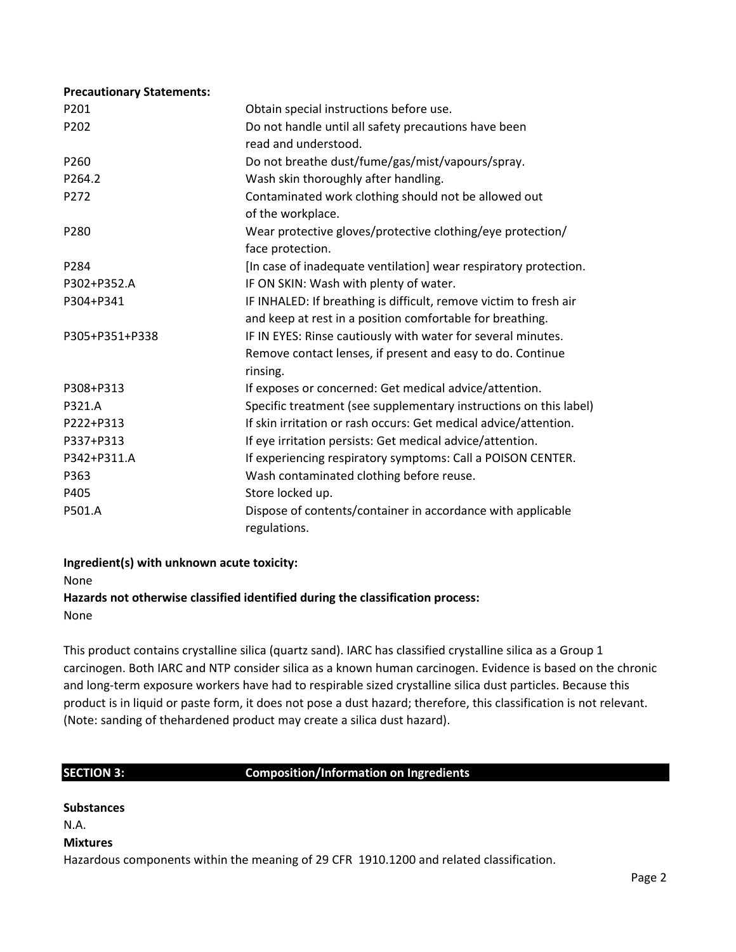| <b>Precautionary Statements:</b> |                                                                   |  |
|----------------------------------|-------------------------------------------------------------------|--|
| P201                             | Obtain special instructions before use.                           |  |
| P202                             | Do not handle until all safety precautions have been              |  |
|                                  | read and understood.                                              |  |
| P260                             | Do not breathe dust/fume/gas/mist/vapours/spray.                  |  |
| P264.2                           | Wash skin thoroughly after handling.                              |  |
| P272                             | Contaminated work clothing should not be allowed out              |  |
|                                  | of the workplace.                                                 |  |
| P280                             | Wear protective gloves/protective clothing/eye protection/        |  |
|                                  | face protection.                                                  |  |
| P <sub>2</sub> 84                | [In case of inadequate ventilation] wear respiratory protection.  |  |
| P302+P352.A                      | IF ON SKIN: Wash with plenty of water.                            |  |
| P304+P341                        | IF INHALED: If breathing is difficult, remove victim to fresh air |  |
|                                  | and keep at rest in a position comfortable for breathing.         |  |
| P305+P351+P338                   | IF IN EYES: Rinse cautiously with water for several minutes.      |  |
|                                  | Remove contact lenses, if present and easy to do. Continue        |  |
|                                  | rinsing.                                                          |  |
| P308+P313                        | If exposes or concerned: Get medical advice/attention.            |  |
| P321.A                           | Specific treatment (see supplementary instructions on this label) |  |
| P222+P313                        | If skin irritation or rash occurs: Get medical advice/attention.  |  |
| P337+P313                        | If eye irritation persists: Get medical advice/attention.         |  |
| P342+P311.A                      | If experiencing respiratory symptoms: Call a POISON CENTER.       |  |
| P363                             | Wash contaminated clothing before reuse.                          |  |
| P405                             | Store locked up.                                                  |  |
| P501.A                           | Dispose of contents/container in accordance with applicable       |  |
|                                  | regulations.                                                      |  |

# **Ingredient(s) with unknown acute toxicity:**

None

# **Hazards not otherwise classified identified during the classification process:**

None

This product contains crystalline silica (quartz sand). IARC has classified crystalline silica as a Group 1 carcinogen. Both IARC and NTP consider silica as a known human carcinogen. Evidence is based on the chronic and long-term exposure workers have had to respirable sized crystalline silica dust particles. Because this product is in liquid or paste form, it does not pose a dust hazard; therefore, this classification is not relevant. (Note: sanding of thehardened product may create a silica dust hazard).

# **SECTION 3: Composition/Information on Ingredients**

| Substances                                                                              |
|-----------------------------------------------------------------------------------------|
| N.A                                                                                     |
| Mixtures                                                                                |
| Hazardous components within the meaning of 29 CFR 1910.1200 and related classification. |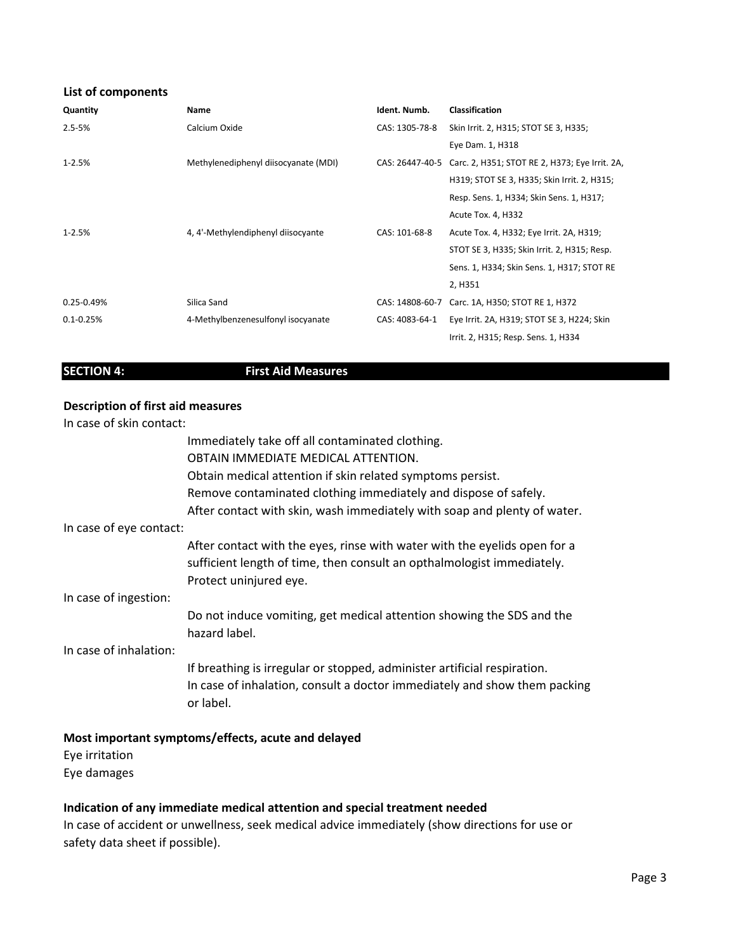# **List of components**

| Quantity       | Name                                 | Ident. Numb.    | <b>Classification</b>                                          |
|----------------|--------------------------------------|-----------------|----------------------------------------------------------------|
| $2.5 - 5%$     | Calcium Oxide                        | CAS: 1305-78-8  | Skin Irrit. 2, H315; STOT SE 3, H335;                          |
|                |                                      |                 | Eye Dam. 1, H318                                               |
| $1 - 2.5%$     | Methylenediphenyl diisocyanate (MDI) |                 | CAS: 26447-40-5 Carc. 2, H351; STOT RE 2, H373; Eye Irrit. 2A, |
|                |                                      |                 | H319; STOT SE 3, H335; Skin Irrit. 2, H315;                    |
|                |                                      |                 | Resp. Sens. 1, H334; Skin Sens. 1, H317;                       |
|                |                                      |                 | Acute Tox. 4, H332                                             |
| $1 - 2.5%$     | 4, 4'-Methylendiphenyl diisocyante   | CAS: 101-68-8   | Acute Tox. 4, H332; Eye Irrit. 2A, H319;                       |
|                |                                      |                 | STOT SE 3, H335; Skin Irrit. 2, H315; Resp.                    |
|                |                                      |                 | Sens. 1, H334; Skin Sens. 1, H317; STOT RE                     |
|                |                                      |                 | 2, H351                                                        |
| $0.25 - 0.49%$ | Silica Sand                          | CAS: 14808-60-7 | Carc. 1A, H350; STOT RE 1, H372                                |
| $0.1 - 0.25%$  | 4-Methylbenzenesulfonyl isocyanate   | CAS: 4083-64-1  | Eye Irrit. 2A, H319; STOT SE 3, H224; Skin                     |
|                |                                      |                 | Irrit. 2, H315; Resp. Sens. 1, H334                            |

# **SECTION 4: First Aid Measures**

# **Description of first aid measures**

In case of skin contact:

|                         | Immediately take off all contaminated clothing.                                                                                                                               |
|-------------------------|-------------------------------------------------------------------------------------------------------------------------------------------------------------------------------|
|                         | OBTAIN IMMEDIATE MEDICAL ATTENTION.                                                                                                                                           |
|                         | Obtain medical attention if skin related symptoms persist.                                                                                                                    |
|                         | Remove contaminated clothing immediately and dispose of safely.                                                                                                               |
|                         | After contact with skin, wash immediately with soap and plenty of water.                                                                                                      |
| In case of eye contact: |                                                                                                                                                                               |
|                         | After contact with the eyes, rinse with water with the eyelids open for a<br>sufficient length of time, then consult an opthalmologist immediately.<br>Protect uninjured eye. |
| In case of ingestion:   |                                                                                                                                                                               |
|                         | Do not induce vomiting, get medical attention showing the SDS and the<br>hazard label.                                                                                        |
| In case of inhalation:  |                                                                                                                                                                               |
|                         | If breathing is irregular or stopped, administer artificial respiration.<br>In case of inhalation, consult a doctor immediately and show them packing<br>or label.            |

# **Most important symptoms/effects, acute and delayed**

Eye irritation Eye damages

# **Indication of any immediate medical attention and special treatment needed**

In case of accident or unwellness, seek medical advice immediately (show directions for use or safety data sheet if possible).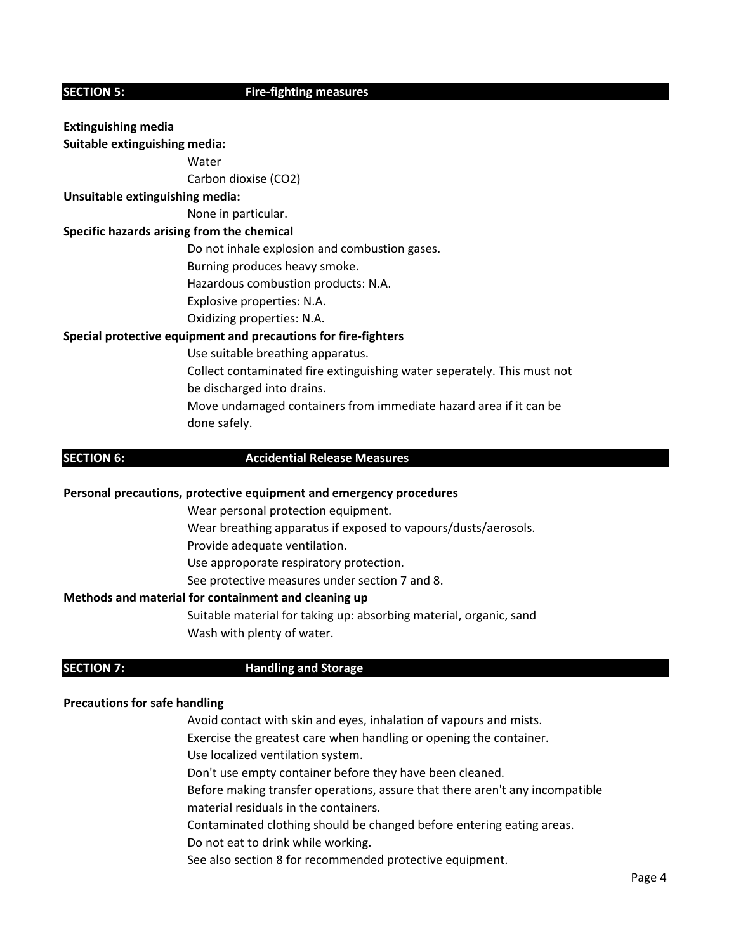# **SECTION 5:** Fire-fighting measures

# **Extinguishing media Suitable extinguishing media:**

**Water** 

Carbon dioxise (CO2)

# **Unsuitable extinguishing media:**

None in particular.

# **Specific hazards arising from the chemical**

Do not inhale explosion and combustion gases.

Burning produces heavy smoke.

Hazardous combustion products: N.A.

Explosive properties: N.A.

Oxidizing properties: N.A.

# **Special protective equipment and precautions for fire-fighters**

Use suitable breathing apparatus.

Collect contaminated fire extinguishing water seperately. This must not be discharged into drains. Move undamaged containers from immediate hazard area if it can be

done safely.

# **SECTION 6: Accidential Release Measures**

# **Personal precautions, protective equipment and emergency procedures**

Wear personal protection equipment.

Wear breathing apparatus if exposed to vapours/dusts/aerosols.

Provide adequate ventilation.

Use approporate respiratory protection.

See protective measures under section 7 and 8.

# **Methods and material for containment and cleaning up**

Suitable material for taking up: absorbing material, organic, sand Wash with plenty of water.

# **SECTION 7:** Handling and Storage

# **Precautions for safe handling**

Avoid contact with skin and eyes, inhalation of vapours and mists.

- Exercise the greatest care when handling or opening the container.
- Use localized ventilation system.
- Don't use empty container before they have been cleaned.
- Before making transfer operations, assure that there aren't any incompatible material residuals in the containers.
- Contaminated clothing should be changed before entering eating areas.
- Do not eat to drink while working.
- See also section 8 for recommended protective equipment.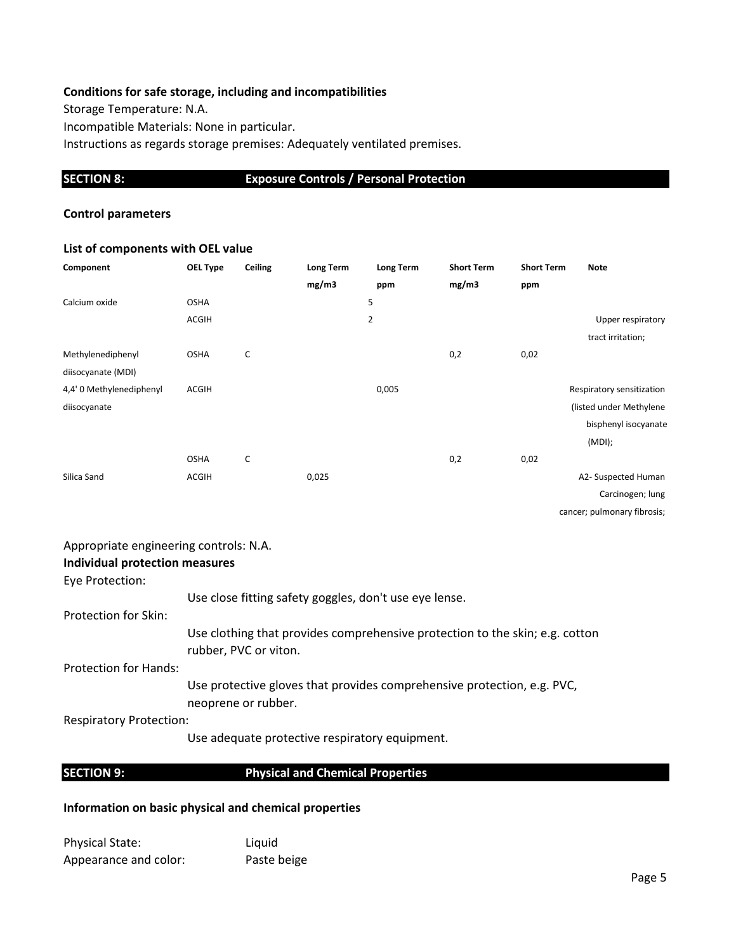# **Conditions for safe storage, including and incompatibilities**

Storage Temperature: N.A. Incompatible Materials: None in particular. Instructions as regards storage premises: Adequately ventilated premises.

# **SECTION 8: Exposure Controls / Personal Protection**

# **Control parameters**

# **List of components with OEL value**

| Component                | OEL Type     | Ceiling | Long Term | Long Term      | <b>Short Term</b> | <b>Short Term</b> | <b>Note</b>                 |
|--------------------------|--------------|---------|-----------|----------------|-------------------|-------------------|-----------------------------|
|                          |              |         | mg/m3     | ppm            | mg/m3             | ppm               |                             |
| Calcium oxide            | <b>OSHA</b>  |         |           | 5              |                   |                   |                             |
|                          | ACGIH        |         |           | $\overline{2}$ |                   |                   | Upper respiratory           |
|                          |              |         |           |                |                   |                   | tract irritation;           |
| Methylenediphenyl        | <b>OSHA</b>  | C       |           |                | 0,2               | 0,02              |                             |
| diisocyanate (MDI)       |              |         |           |                |                   |                   |                             |
| 4,4' 0 Methylenediphenyl | <b>ACGIH</b> |         |           | 0,005          |                   |                   | Respiratory sensitization   |
| diisocyanate             |              |         |           |                |                   |                   | (listed under Methylene     |
|                          |              |         |           |                |                   |                   | bisphenyl isocyanate        |
|                          |              |         |           |                |                   |                   | $(MDI)$ ;                   |
|                          | <b>OSHA</b>  | C       |           |                | 0,2               | 0,02              |                             |
| Silica Sand              | ACGIH        |         | 0,025     |                |                   |                   | A2- Suspected Human         |
|                          |              |         |           |                |                   |                   | Carcinogen; lung            |
|                          |              |         |           |                |                   |                   | cancer; pulmonary fibrosis; |

# Appropriate engineering controls: N.A.

| <b>Individual protection measures</b> |                                                                                                       |
|---------------------------------------|-------------------------------------------------------------------------------------------------------|
| Eye Protection:                       |                                                                                                       |
|                                       | Use close fitting safety goggles, don't use eye lense.                                                |
| Protection for Skin:                  |                                                                                                       |
|                                       | Use clothing that provides comprehensive protection to the skin; e.g. cotton<br>rubber, PVC or viton. |
| <b>Protection for Hands:</b>          |                                                                                                       |
|                                       | Use protective gloves that provides comprehensive protection, e.g. PVC,<br>neoprene or rubber.        |
| <b>Respiratory Protection:</b>        |                                                                                                       |
|                                       | Use adequate protective respiratory equipment.                                                        |

**SECTION 9: Physical and Chemical Properties** 

# **Information on basic physical and chemical properties**

Physical State: Liquid Appearance and color: Paste beige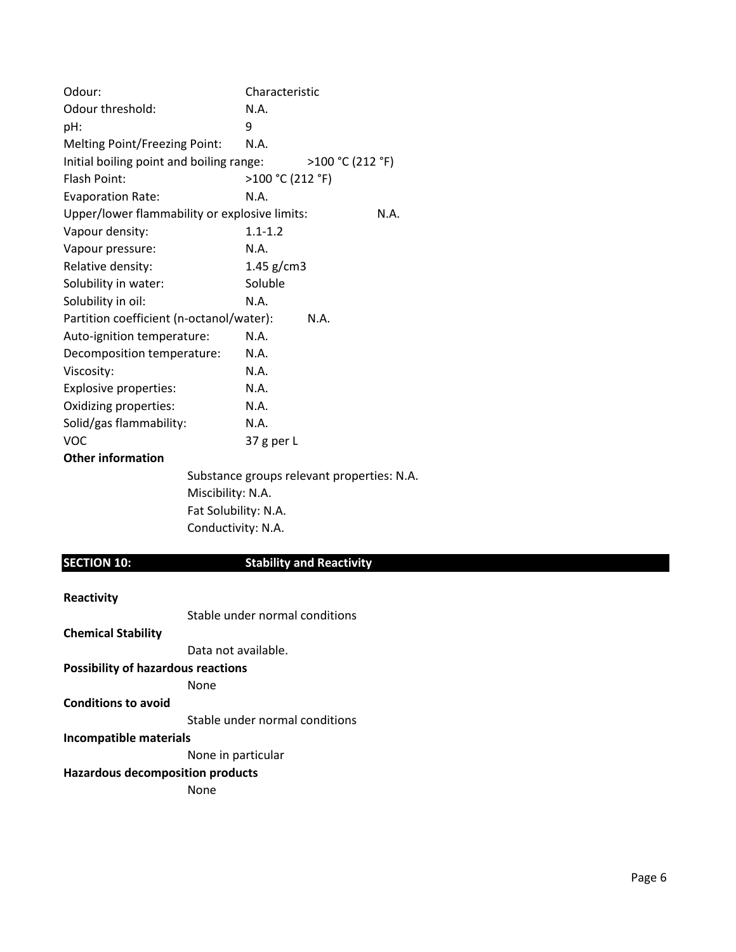| Odour:                                        | Characteristic                             |
|-----------------------------------------------|--------------------------------------------|
| Odour threshold:                              | N.A.                                       |
| pH:                                           | 9                                          |
| Melting Point/Freezing Point:                 | N.A.                                       |
| Initial boiling point and boiling range:      | >100 °C (212 °F)                           |
| Flash Point:                                  | >100 °C (212 °F)                           |
| <b>Evaporation Rate:</b>                      | N.A.                                       |
| Upper/lower flammability or explosive limits: | N.A.                                       |
| Vapour density:                               | $1.1 - 1.2$                                |
| Vapour pressure:                              | N.A.                                       |
| Relative density:                             | 1.45 $g/cm3$                               |
| Solubility in water:                          | Soluble                                    |
| Solubility in oil:                            | N.A.                                       |
| Partition coefficient (n-octanol/water):      | N.A.                                       |
| Auto-ignition temperature:                    | N.A.                                       |
| Decomposition temperature:                    | N.A.                                       |
| Viscosity:                                    | N.A.                                       |
| Explosive properties:                         | N.A.                                       |
| Oxidizing properties:                         | N.A.                                       |
| Solid/gas flammability:                       | N.A.                                       |
| <b>VOC</b>                                    | 37 g per L                                 |
| <b>Other information</b>                      |                                            |
|                                               | Substance groups relevant properties: N.A. |

Miscibility: N.A. Fat Solubility: N.A. Conductivity: N.A.

# **SECTION 10: Stability and Reactivity**

| Reactivity                                |                                |
|-------------------------------------------|--------------------------------|
|                                           | Stable under normal conditions |
| <b>Chemical Stability</b>                 |                                |
|                                           | Data not available.            |
| <b>Possibility of hazardous reactions</b> |                                |
|                                           | None                           |
| <b>Conditions to avoid</b>                |                                |
|                                           | Stable under normal conditions |
| Incompatible materials                    |                                |
|                                           | None in particular             |
| <b>Hazardous decomposition products</b>   |                                |
|                                           | None                           |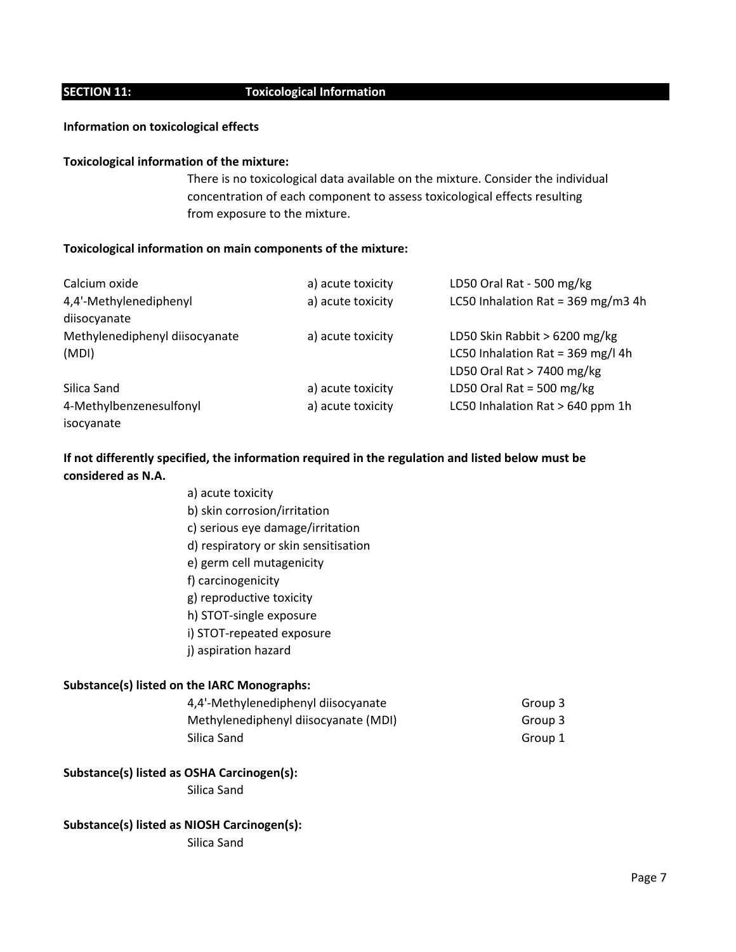# **SECTION 11: Toxicological Information**

## **Information on toxicological effects**

## **Toxicological information of the mixture:**

There is no toxicological data available on the mixture. Consider the individual concentration of each component to assess toxicological effects resulting from exposure to the mixture.

## **Toxicological information on main components of the mixture:**

| Calcium oxide                  | a) acute toxicity | LD50 Oral Rat - 500 mg/kg          |
|--------------------------------|-------------------|------------------------------------|
| 4,4'-Methylenediphenyl         | a) acute toxicity | LC50 Inhalation Rat = 369 mg/m3 4h |
| diisocyanate                   |                   |                                    |
| Methylenediphenyl diisocyanate | a) acute toxicity | LD50 Skin Rabbit > 6200 mg/kg      |
| (MDI)                          |                   | LC50 Inhalation Rat = 369 mg/l 4h  |
|                                |                   | LD50 Oral Rat > 7400 mg/kg         |
| Silica Sand                    | a) acute toxicity | LD50 Oral Rat = 500 mg/kg          |
| 4-Methylbenzenesulfonyl        | a) acute toxicity | LC50 Inhalation Rat > 640 ppm 1h   |
| isocyanate                     |                   |                                    |

# **If not differently specified, the information required in the regulation and listed below must be considered as N.A.**

a) acute toxicity b) skin corrosion/irritation c) serious eye damage/irritation d) respiratory or skin sensitisation e) germ cell mutagenicity f) carcinogenicity g) reproductive toxicity h) STOT-single exposure i) STOT-repeated exposure j) aspiration hazard

# **Substance(s) listed on the IARC Monographs:**

| 4,4'-Methylenediphenyl diisocyanate  | Group 3 |
|--------------------------------------|---------|
| Methylenediphenyl diisocyanate (MDI) | Group 3 |
| Silica Sand                          | Group 1 |

# **Substance(s) listed as OSHA Carcinogen(s):**

Silica Sand

# **Substance(s) listed as NIOSH Carcinogen(s):**

Silica Sand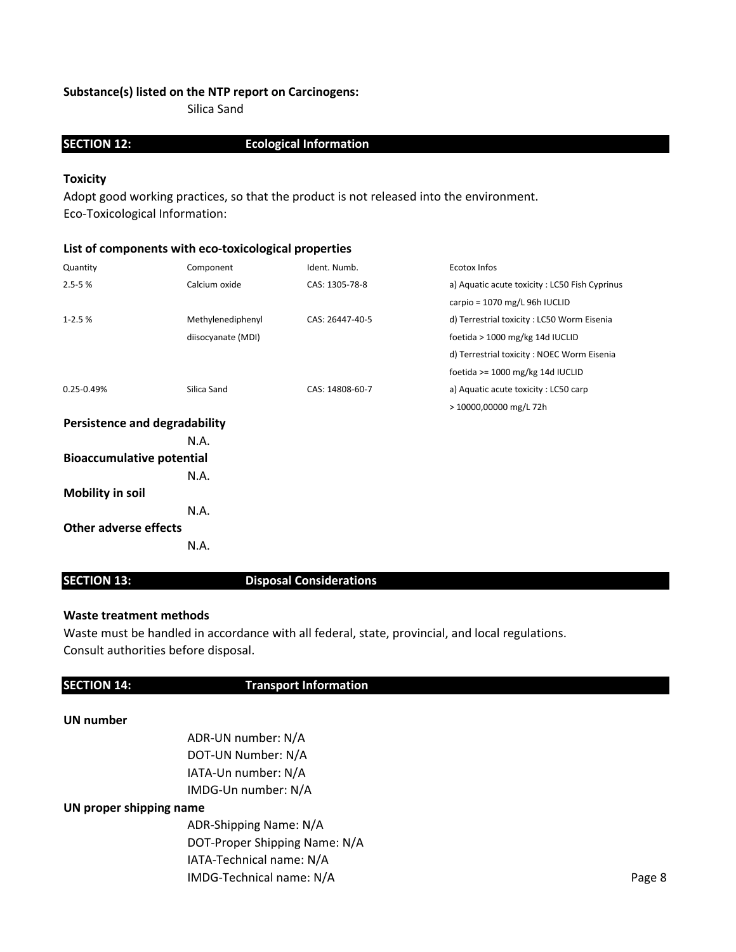# **Substance(s) listed on the NTP report on Carcinogens:**

Silica Sand

# **SECTION 12: Ecological Information**

# **Toxicity**

Adopt good working practices, so that the product is not released into the environment. Eco-Toxicological Information:

# **List of components with eco-toxicological properties**

| Quantity                             | Component          | Ident. Numb.    | Ecotox Infos                                  |
|--------------------------------------|--------------------|-----------------|-----------------------------------------------|
| $2.5 - 5%$                           | Calcium oxide      | CAS: 1305-78-8  | a) Aquatic acute toxicity: LC50 Fish Cyprinus |
|                                      |                    |                 | carpio = 1070 mg/L 96h IUCLID                 |
| $1 - 2.5%$                           | Methylenediphenyl  | CAS: 26447-40-5 | d) Terrestrial toxicity: LC50 Worm Eisenia    |
|                                      | diisocyanate (MDI) |                 | foetida > 1000 mg/kg 14d IUCLID               |
|                                      |                    |                 | d) Terrestrial toxicity: NOEC Worm Eisenia    |
|                                      |                    |                 | foetida >= 1000 mg/kg 14d IUCLID              |
| 0.25-0.49%                           | Silica Sand        | CAS: 14808-60-7 | a) Aquatic acute toxicity: LC50 carp          |
|                                      |                    |                 | > 10000,00000 mg/L 72h                        |
| <b>Persistence and degradability</b> |                    |                 |                                               |
|                                      | N.A.               |                 |                                               |
| <b>Bioaccumulative potential</b>     |                    |                 |                                               |
|                                      | N.A.               |                 |                                               |
| <b>Mobility in soil</b>              |                    |                 |                                               |
|                                      | N.A.               |                 |                                               |
| <b>Other adverse effects</b>         |                    |                 |                                               |
|                                      | N.A.               |                 |                                               |

# **SECTION 13:** Disposal Considerations

# **Waste treatment methods**

Waste must be handled in accordance with all federal, state, provincial, and local regulations. Consult authorities before disposal.

# **SECTION 14:** Transport Information

# **UN number**

ADR-UN number: N/A DOT-UN Number: N/A IATA-Un number: N/A IMDG-Un number: N/A

# **UN proper shipping name**

ADR-Shipping Name: N/A DOT-Proper Shipping Name: N/A IATA-Technical name: N/A IMDG-Technical name: N/A Page 8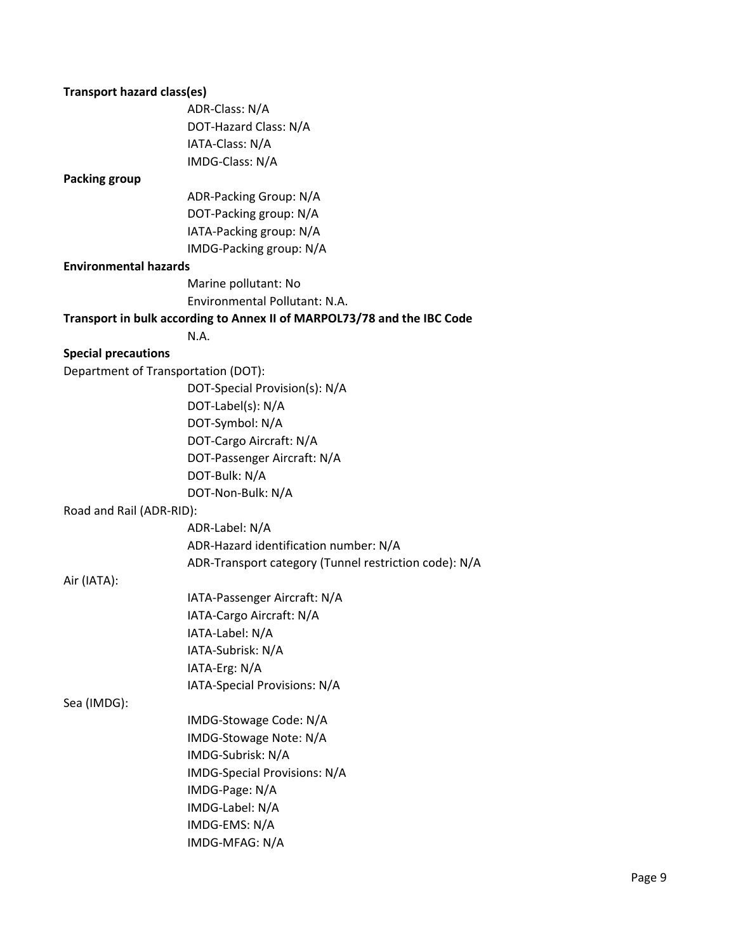| <b>Transport hazard class(es)</b>   |                                                                         |
|-------------------------------------|-------------------------------------------------------------------------|
|                                     | ADR-Class: N/A                                                          |
|                                     | DOT-Hazard Class: N/A                                                   |
|                                     | IATA-Class: N/A                                                         |
|                                     | IMDG-Class: N/A                                                         |
| <b>Packing group</b>                |                                                                         |
|                                     | ADR-Packing Group: N/A                                                  |
|                                     | DOT-Packing group: N/A                                                  |
|                                     | IATA-Packing group: N/A                                                 |
|                                     | IMDG-Packing group: N/A                                                 |
| <b>Environmental hazards</b>        |                                                                         |
|                                     | Marine pollutant: No                                                    |
|                                     | Environmental Pollutant: N.A.                                           |
|                                     | Transport in bulk according to Annex II of MARPOL73/78 and the IBC Code |
|                                     | N.A.                                                                    |
| <b>Special precautions</b>          |                                                                         |
| Department of Transportation (DOT): |                                                                         |
|                                     | DOT-Special Provision(s): N/A                                           |
|                                     | DOT-Label(s): N/A                                                       |
|                                     | DOT-Symbol: N/A                                                         |
|                                     | DOT-Cargo Aircraft: N/A                                                 |
|                                     | DOT-Passenger Aircraft: N/A                                             |
|                                     | DOT-Bulk: N/A                                                           |
|                                     | DOT-Non-Bulk: N/A                                                       |
| Road and Rail (ADR-RID):            |                                                                         |
|                                     | ADR-Label: N/A                                                          |
|                                     | ADR-Hazard identification number: N/A                                   |
|                                     | ADR-Transport category (Tunnel restriction code): N/A                   |
| Air (IATA):                         |                                                                         |
|                                     | IATA-Passenger Aircraft: N/A                                            |
|                                     | IATA-Cargo Aircraft: N/A                                                |
|                                     | IATA-Label: N/A                                                         |
|                                     | IATA-Subrisk: N/A                                                       |
|                                     | IATA-Erg: N/A                                                           |
|                                     | IATA-Special Provisions: N/A                                            |
| Sea (IMDG):                         |                                                                         |
|                                     | IMDG-Stowage Code: N/A                                                  |
|                                     | IMDG-Stowage Note: N/A                                                  |
|                                     | IMDG-Subrisk: N/A                                                       |
|                                     | IMDG-Special Provisions: N/A                                            |
|                                     | IMDG-Page: N/A                                                          |
|                                     | IMDG-Label: N/A                                                         |
|                                     | IMDG-EMS: N/A                                                           |
|                                     | IMDG-MFAG: N/A                                                          |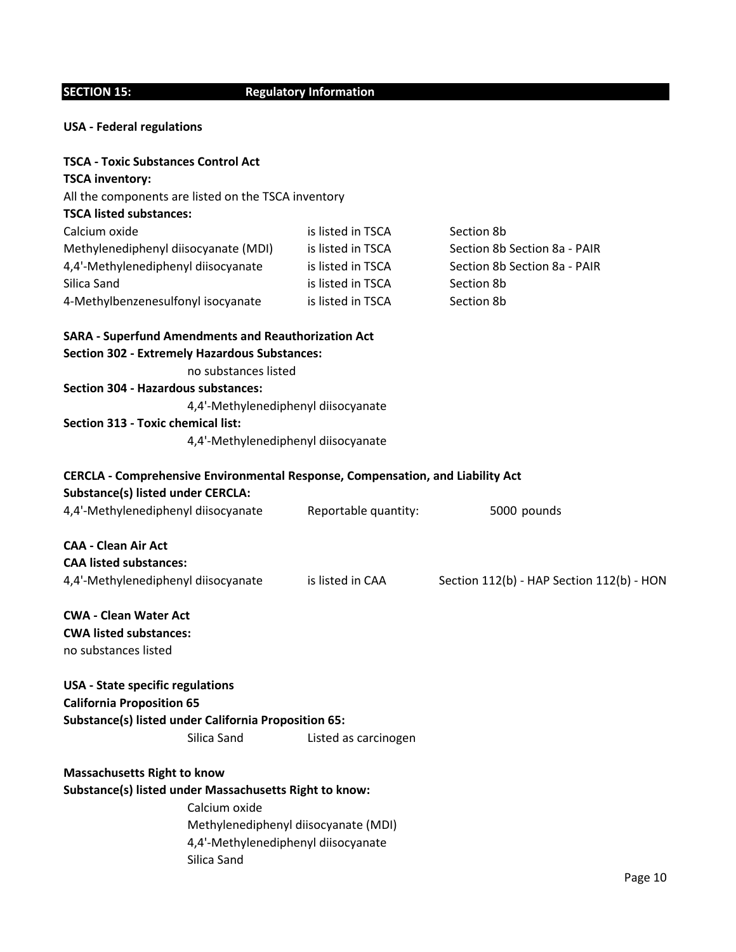# **SECTION 15:** Regulatory Information

# **USA - Federal regulations**

| <b>TSCA - Toxic Substances Control Act</b>                                     |                                      |                                           |
|--------------------------------------------------------------------------------|--------------------------------------|-------------------------------------------|
| <b>TSCA inventory:</b>                                                         |                                      |                                           |
| All the components are listed on the TSCA inventory                            |                                      |                                           |
| <b>TSCA listed substances:</b>                                                 |                                      |                                           |
| Calcium oxide                                                                  | is listed in TSCA                    | Section 8b                                |
| Methylenediphenyl diisocyanate (MDI)                                           | is listed in TSCA                    | Section 8b Section 8a - PAIR              |
| 4,4'-Methylenediphenyl diisocyanate                                            | is listed in TSCA                    | Section 8b Section 8a - PAIR              |
| Silica Sand                                                                    | is listed in TSCA                    | Section 8b                                |
| 4-Methylbenzenesulfonyl isocyanate                                             | is listed in TSCA                    | Section 8b                                |
| <b>SARA - Superfund Amendments and Reauthorization Act</b>                     |                                      |                                           |
| <b>Section 302 - Extremely Hazardous Substances:</b>                           |                                      |                                           |
| no substances listed                                                           |                                      |                                           |
| <b>Section 304 - Hazardous substances:</b>                                     |                                      |                                           |
| 4,4'-Methylenediphenyl diisocyanate                                            |                                      |                                           |
| <b>Section 313 - Toxic chemical list:</b>                                      |                                      |                                           |
| 4,4'-Methylenediphenyl diisocyanate                                            |                                      |                                           |
| CERCLA - Comprehensive Environmental Response, Compensation, and Liability Act |                                      |                                           |
| <b>Substance(s) listed under CERCLA:</b>                                       |                                      |                                           |
| 4,4'-Methylenediphenyl diisocyanate                                            | Reportable quantity:                 | 5000 pounds                               |
| <b>CAA - Clean Air Act</b>                                                     |                                      |                                           |
| <b>CAA listed substances:</b>                                                  |                                      |                                           |
| 4,4'-Methylenediphenyl diisocyanate                                            | is listed in CAA                     | Section 112(b) - HAP Section 112(b) - HON |
| <b>CWA - Clean Water Act</b>                                                   |                                      |                                           |
| <b>CWA listed substances:</b>                                                  |                                      |                                           |
| no substances listed                                                           |                                      |                                           |
| <b>USA</b> - State specific regulations                                        |                                      |                                           |
| <b>California Proposition 65</b>                                               |                                      |                                           |
| Substance(s) listed under California Proposition 65:                           |                                      |                                           |
| Silica Sand                                                                    | Listed as carcinogen                 |                                           |
| <b>Massachusetts Right to know</b>                                             |                                      |                                           |
| Substance(s) listed under Massachusetts Right to know:                         |                                      |                                           |
| Calcium oxide                                                                  |                                      |                                           |
|                                                                                | Methylenediphenyl diisocyanate (MDI) |                                           |
| 4,4'-Methylenediphenyl diisocyanate                                            |                                      |                                           |
| Silica Sand                                                                    |                                      |                                           |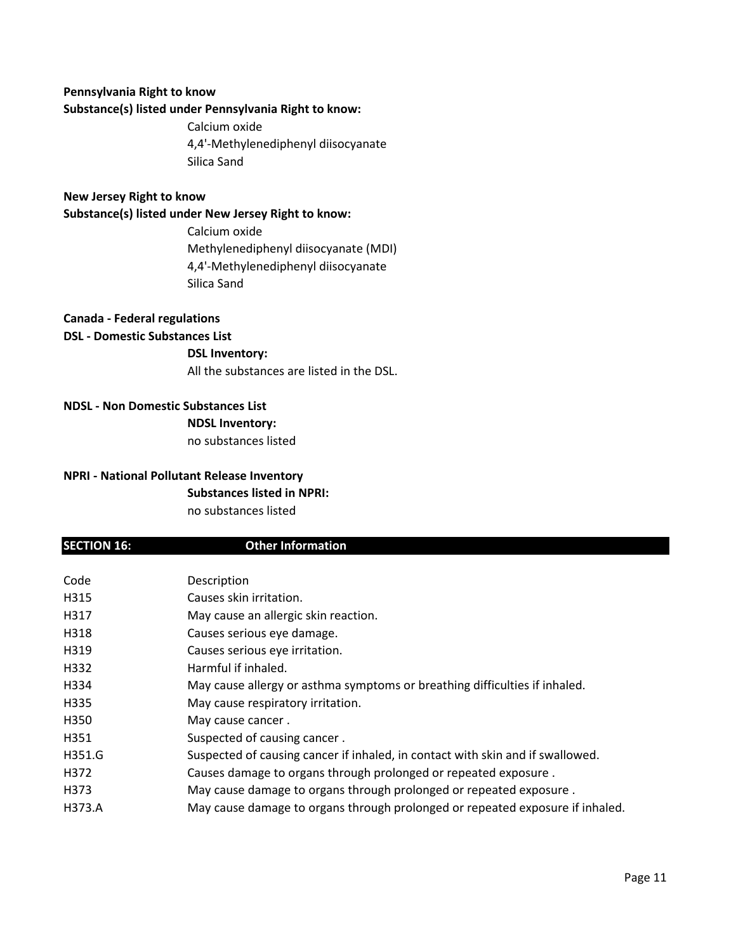# **Pennsylvania Right to know**

**Substance(s) listed under Pennsylvania Right to know:**

Calcium oxide 4,4'-Methylenediphenyl diisocyanate Silica Sand

# **New Jersey Right to know**

**Substance(s) listed under New Jersey Right to know:**

Calcium oxide Methylenediphenyl diisocyanate (MDI) 4,4'-Methylenediphenyl diisocyanate Silica Sand

**Canada - Federal regulations**

# **DSL - Domestic Substances List**

**DSL Inventory:**

All the substances are listed in the DSL.

**NDSL - Non Domestic Substances List NDSL Inventory:** no substances listed

# **NPRI - National Pollutant Release Inventory**

**Substances listed in NPRI:**

no substances listed

# **SECTION 16:** Other Information

| Code   | Description                                                                    |
|--------|--------------------------------------------------------------------------------|
| H315   | Causes skin irritation.                                                        |
| H317   | May cause an allergic skin reaction.                                           |
| H318   | Causes serious eye damage.                                                     |
| H319   | Causes serious eye irritation.                                                 |
| H332   | Harmful if inhaled.                                                            |
| H334   | May cause allergy or asthma symptoms or breathing difficulties if inhaled.     |
| H335   | May cause respiratory irritation.                                              |
| H350   | May cause cancer.                                                              |
| H351   | Suspected of causing cancer.                                                   |
| H351.G | Suspected of causing cancer if inhaled, in contact with skin and if swallowed. |
| H372   | Causes damage to organs through prolonged or repeated exposure.                |
| H373   | May cause damage to organs through prolonged or repeated exposure.             |
| H373.A | May cause damage to organs through prolonged or repeated exposure if inhaled.  |
|        |                                                                                |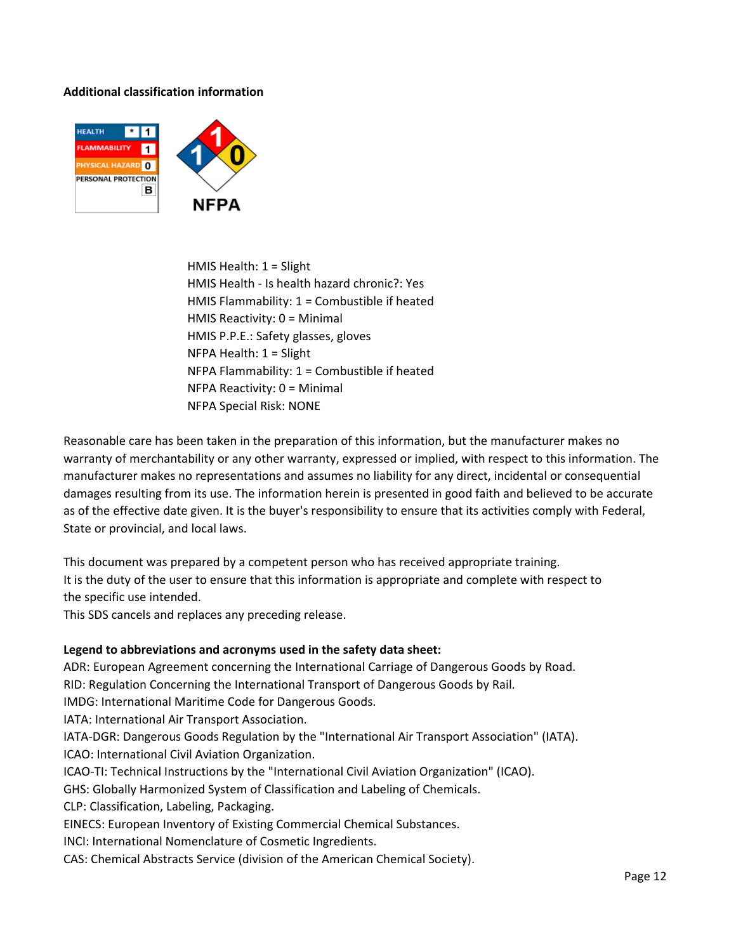# **Additional classification information**



HMIS Health: 1 = Slight HMIS Health - Is health hazard chronic?: Yes HMIS Flammability: 1 = Combustible if heated HMIS Reactivity: 0 = Minimal HMIS P.P.E.: Safety glasses, gloves NFPA Health: 1 = Slight NFPA Flammability: 1 = Combustible if heated NFPA Reactivity: 0 = Minimal NFPA Special Risk: NONE

Reasonable care has been taken in the preparation of this information, but the manufacturer makes no warranty of merchantability or any other warranty, expressed or implied, with respect to this information. The manufacturer makes no representations and assumes no liability for any direct, incidental or consequential damages resulting from its use. The information herein is presented in good faith and believed to be accurate as of the effective date given. It is the buyer's responsibility to ensure that its activities comply with Federal, State or provincial, and local laws.

This document was prepared by a competent person who has received appropriate training. It is the duty of the user to ensure that this information is appropriate and complete with respect to the specific use intended.

This SDS cancels and replaces any preceding release.

# **Legend to abbreviations and acronyms used in the safety data sheet:**

ADR: European Agreement concerning the International Carriage of Dangerous Goods by Road.

RID: Regulation Concerning the International Transport of Dangerous Goods by Rail.

IMDG: International Maritime Code for Dangerous Goods.

IATA: International Air Transport Association.

IATA-DGR: Dangerous Goods Regulation by the "International Air Transport Association" (IATA).

ICAO: International Civil Aviation Organization.

ICAO-TI: Technical Instructions by the "International Civil Aviation Organization" (ICAO).

GHS: Globally Harmonized System of Classification and Labeling of Chemicals.

CLP: Classification, Labeling, Packaging.

EINECS: European Inventory of Existing Commercial Chemical Substances.

INCI: International Nomenclature of Cosmetic Ingredients.

CAS: Chemical Abstracts Service (division of the American Chemical Society).